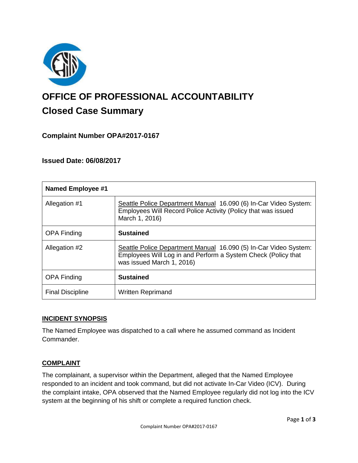

# **OFFICE OF PROFESSIONAL ACCOUNTABILITY Closed Case Summary**

## **Complaint Number OPA#2017-0167**

## **Issued Date: 06/08/2017**

| <b>Named Employee #1</b> |                                                                                                                                                                |
|--------------------------|----------------------------------------------------------------------------------------------------------------------------------------------------------------|
| Allegation #1            | Seattle Police Department Manual 16.090 (6) In-Car Video System:<br>Employees Will Record Police Activity (Policy that was issued<br>March 1, 2016)            |
| <b>OPA Finding</b>       | <b>Sustained</b>                                                                                                                                               |
| Allegation #2            | Seattle Police Department Manual 16.090 (5) In-Car Video System:<br>Employees Will Log in and Perform a System Check (Policy that<br>was issued March 1, 2016) |
| <b>OPA Finding</b>       | <b>Sustained</b>                                                                                                                                               |
| <b>Final Discipline</b>  | <b>Written Reprimand</b>                                                                                                                                       |

## **INCIDENT SYNOPSIS**

The Named Employee was dispatched to a call where he assumed command as Incident Commander.

## **COMPLAINT**

The complainant, a supervisor within the Department, alleged that the Named Employee responded to an incident and took command, but did not activate In-Car Video (ICV). During the complaint intake, OPA observed that the Named Employee regularly did not log into the ICV system at the beginning of his shift or complete a required function check.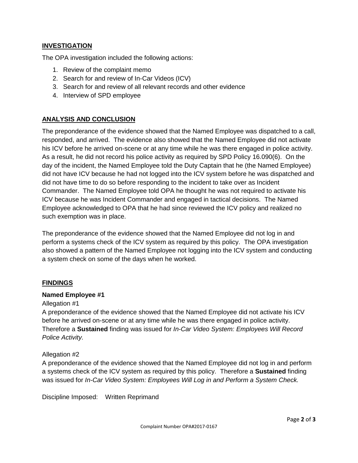## **INVESTIGATION**

The OPA investigation included the following actions:

- 1. Review of the complaint memo
- 2. Search for and review of In-Car Videos (ICV)
- 3. Search for and review of all relevant records and other evidence
- 4. Interview of SPD employee

## **ANALYSIS AND CONCLUSION**

The preponderance of the evidence showed that the Named Employee was dispatched to a call, responded, and arrived. The evidence also showed that the Named Employee did not activate his ICV before he arrived on-scene or at any time while he was there engaged in police activity. As a result, he did not record his police activity as required by SPD Policy 16.090(6). On the day of the incident, the Named Employee told the Duty Captain that he (the Named Employee) did not have ICV because he had not logged into the ICV system before he was dispatched and did not have time to do so before responding to the incident to take over as Incident Commander. The Named Employee told OPA he thought he was not required to activate his ICV because he was Incident Commander and engaged in tactical decisions. The Named Employee acknowledged to OPA that he had since reviewed the ICV policy and realized no such exemption was in place.

The preponderance of the evidence showed that the Named Employee did not log in and perform a systems check of the ICV system as required by this policy. The OPA investigation also showed a pattern of the Named Employee not logging into the ICV system and conducting a system check on some of the days when he worked.

## **FINDINGS**

## **Named Employee #1**

#### Allegation #1

A preponderance of the evidence showed that the Named Employee did not activate his ICV before he arrived on-scene or at any time while he was there engaged in police activity. Therefore a **Sustained** finding was issued for *In-Car Video System: Employees Will Record Police Activity.*

## Allegation #2

A preponderance of the evidence showed that the Named Employee did not log in and perform a systems check of the ICV system as required by this policy. Therefore a **Sustained** finding was issued for *In-Car Video System: Employees Will Log in and Perform a System Check.*

Discipline Imposed: Written Reprimand